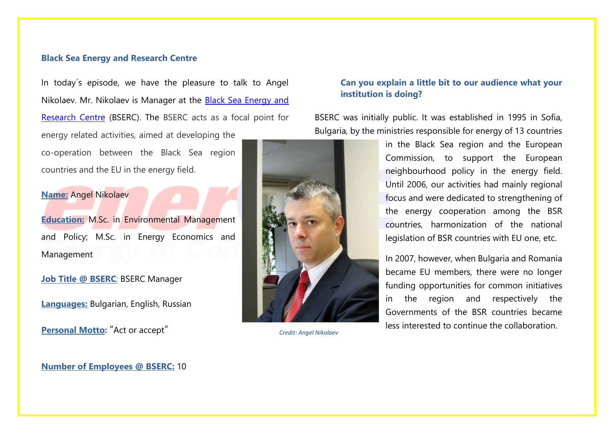#### **Black Sea Energy and Research Centre**

In today´s episode, we have the pleasure to talk to Angel Nikolaev. Mr. Nikolaev is Manager at the Black Sea [Energy and](https://www.bserc.eu/?)  [Research Centre](https://www.bserc.eu/?) (BSERC). The BSERC acts as a focal point for energy related activities, aimed at developing the co-operation between the Black Sea region countries and the EU in the energy field.

## **Name:** Angel Nikolaev

**Education:** M.Sc. in Environmental Management and Policy; M.Sc. in Energy Economics and Management

**Job Title @ BSERC**: BSERC Manager

**Languages:** Bulgarian, English, Russian

**Personal Motto:** "Act or accept"

## **Can you explain a little bit to our audience what your institution is doing?**

BSERC was initially public. It was established in 1995 in Sofia, Bulgaria, by the ministries responsible for energy of 13 countries



*Credit: Angel Nikolaev*

in the Black Sea region and the European Commission, to support the European neighbourhood policy in the energy field. Until 2006, our activities had mainly regional focus and were dedicated to strengthening of the energy cooperation among the BSR countries, harmonization of the national legislation of BSR countries with EU one, etc.

In 2007, however, when Bulgaria and Romania became EU members, there were no longer funding opportunities for common initiatives in the region and respectively the Governments of the BSR countries became less interested to continue the collaboration.

**Number of Employees @ BSERC:** 10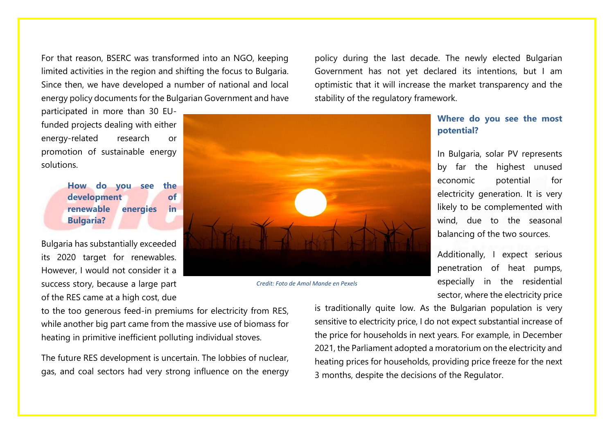For that reason, BSERC was transformed into an NGO, keeping limited activities in the region and shifting the focus to Bulgaria. Since then, we have developed a number of national and local energy policy documents for the Bulgarian Government and have

participated in more than 30 EUfunded projects dealing with either energy-related research or promotion of sustainable energy solutions.

> **How do you see the development of renewable energies in Bulgaria?**

Bulgaria has substantially exceeded its 2020 target for renewables. However, I would not consider it a success story, because a large part of the RES came at a high cost, due



*Credit: Foto de Amol Mande en Pexels*

to the too generous feed-in premiums for electricity from RES, while another big part came from the massive use of biomass for heating in primitive inefficient polluting individual stoves.

The future RES development is uncertain. The lobbies of nuclear, gas, and coal sectors had very strong influence on the energy

policy during the last decade. The newly elected Bulgarian Government has not yet declared its intentions, but I am optimistic that it will increase the market transparency and the stability of the regulatory framework.

# **Where do you see the most potential?**

In Bulgaria, solar PV represents by far the highest unused economic potential for electricity generation. It is very likely to be complemented with wind, due to the seasonal balancing of the two sources.

Additionally, I expect serious penetration of heat pumps, especially in the residential sector, where the electricity price

is traditionally quite low. As the Bulgarian population is very sensitive to electricity price, I do not expect substantial increase of the price for households in next years. For example, in December 2021, the Parliament adopted a moratorium on the electricity and heating prices for households, providing price freeze for the next 3 months, despite the decisions of the Regulator.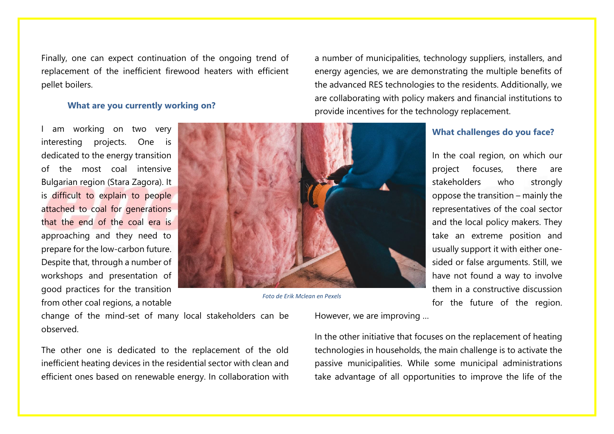Finally, one can expect continuation of the ongoing trend of replacement of the inefficient firewood heaters with efficient pellet boilers.

#### **What are you currently working on?**

I am working on two very interesting projects. One is dedicated to the energy transition of the most coal intensive Bulgarian region (Stara Zagora). It is difficult to explain to people attached to coal for generations that the end of the coal era is approaching and they need to prepare for the low-carbon future. Despite that, through a number of workshops and presentation of good practices for the transition from other coal regions, a notable



*Foto de Erik Mclean en Pexels*

energy agencies, we are demonstrating the multiple benefits of the advanced RES technologies to the residents. Additionally, we are collaborating with policy makers and financial institutions to provide incentives for the technology replacement.

a number of municipalities, technology suppliers, installers, and

## **What challenges do you face?**

In the coal region, on which our project focuses, there are stakeholders who strongly oppose the transition – mainly the representatives of the coal sector and the local policy makers. They take an extreme position and usually support it with either onesided or false arguments. Still, we have not found a way to involve them in a constructive discussion for the future of the region.

change of the mind-set of many local stakeholders can be observed.

The other one is dedicated to the replacement of the old inefficient heating devices in the residential sector with clean and efficient ones based on renewable energy. In collaboration with However, we are improving …

In the other initiative that focuses on the replacement of heating technologies in households, the main challenge is to activate the passive municipalities. While some municipal administrations take advantage of all opportunities to improve the life of the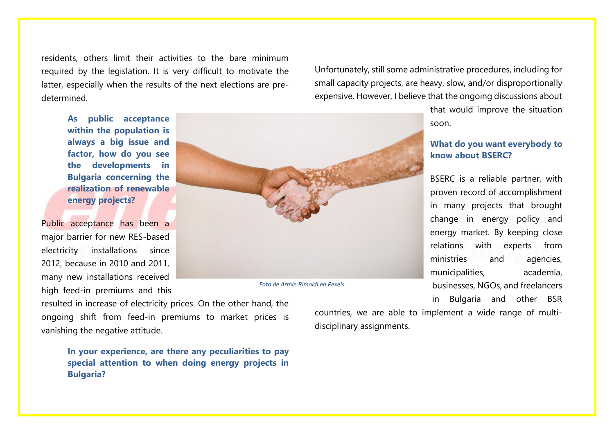residents, others limit their activities to the bare minimum required by the legislation. It is very difficult to motivate the latter, especially when the results of the next elections are predetermined.

Unfortunately, still some administrative procedures, including for small capacity projects, are heavy, slow, and/or disproportionally expensive. However, I believe that the ongoing discussions about

**As public acceptance within the population is always a big issue and factor, how do you see the developments in Bulgaria concerning the realization of renewable energy projects?**

Public acceptance has been a major barrier for new RES-based electricity installations since 2012, because in 2010 and 2011, many new installations received high feed-in premiums and this



*Foto de Armin Rimoldi en Pexels*

that would improve the situation soon.

## **What do you want everybody to know about BSERC?**

BSERC is a reliable partner, with proven record of accomplishment in many projects that brought change in energy policy and energy market. By keeping close relations with experts from ministries and agencies, municipalities, academia, businesses, NGOs, and freelancers in Bulgaria and other BSR

resulted in increase of electricity prices. On the other hand, the ongoing shift from feed-in premiums to market prices is vanishing the negative attitude.

> **In your experience, are there any peculiarities to pay special attention to when doing energy projects in Bulgaria?**

countries, we are able to implement a wide range of multidisciplinary assignments.